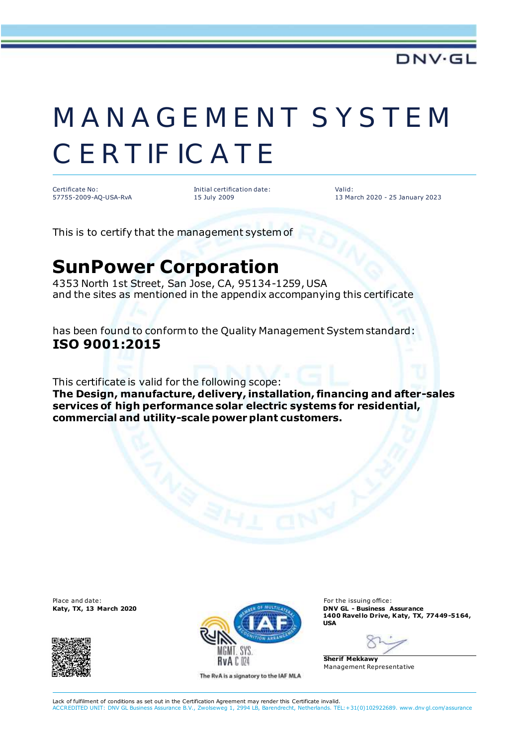## MANAGEMENT SYSTEM **CERTIFICATE**

Certificate No: 57755-2009-AQ-USA-RvA Initial certification date: 15 July 2009

Valid: 13 March 2020 - 25 January 2023

This is to certify that the management system of

## **SunPower Corporation**

4353 North 1st Street, San Jose, CA, 95134-1259, USA and the sites as mentioned in the appendix accompanying this certificate

has been found to conform to the Quality Management System standard: **ISO 9001:2015**

This certificate is valid for the following scope:

**The Design, manufacture, delivery, installation, financing and after-sales services of high performance solar electric systems for residential, commercial and utility-scale power plant customers.**





The RvA is a signatory to the IAF MLA

**1400 Ravel lo Drive, Katy, TX, 77449-5164, USA**

**Sherif Mekkawy** Management Representative

Lack of fulfilment of conditions as set out in the Certification Agreement may render this Certificate invalid. ACCREDITED UNIT: DNV GL Business Assurance B.V., Zwolseweg 1, 2994 LB, Barendrecht, Netherlands. TEL:+31(0)102922689. www.dnv gl.com/assurance